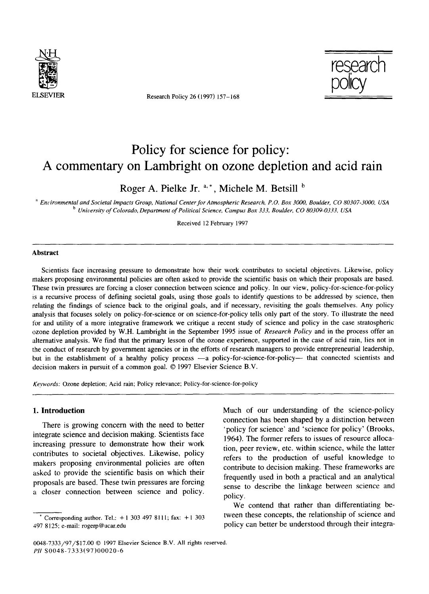

Research Policy 26 (1997) 157-168



# **Policy for science for policy: A commentary on Lambright on ozone depletion and acid rain**

**Roger A. Pielke Jr. a,\*, Michele M. Betsill b** 

<sup>a</sup> Environmental and Societal Impacts Group, National Center for Atmospheric Research, P.O. Box 3000, Boulder, CO 80307-3000, USA <sup>b</sup> University of Colorado, Department of Political Science, Campus Box 333, Boulder, CO 80309-0333, USA

Received 12 February 1997

### **Abstract**

Scientists face increasing pressure to demonstrate how their work contributes to societal objectives. Likewise, policy makers proposing environmental policies are often asked to provide the scientific basis on which their proposals are based. These twin pressures are forcing a closer connection between science and policy. In our view, policy-for-science-for-policy is a recursive process of defining societal goals, using those goals to identify questions to be addressed by science, then relating the findings of science back to the original goals, and if necessary, revisiting the goals themselves. Any policy analysis that focuses solely on policy-for-science or on science-for-policy tells only part of the story. To illustrate the need tor and utility of a more integrative framework we critique a recent study of science and policy in the case stratospheric ozone depletion provided by W.H. Lambright in the September 1995 issue of *Research Policy* and in the process offer an alternative analysis. We find that the primary lesson of the ozone experience, supported in the case of acid rain, lies not in the conduct of research by government agencies or in the efforts of research managers to provide entrepreneurial leadership, but in the establishment of a healthy policy process -- a policy-for-science-for-policy-- that connected scientists and decision makers in pursuit of a common goal. © 1997 Elsevier Science B.V.

*Keywords:* Ozone depletion; Acid rain; Policy relevance; Policy-for-science-for-policy

## **1. Introduction**

There is growing concern with the need to better integrate science and decision making. Scientists face increasing pressure to demonstrate how their work contributes to societal objectives. Likewise, policy makers proposing environmental policies are often asked to provide the scientific basis on which their proposals are based. These twin pressures are forcing a closer connection between science and policy.

Much of our understanding of the science-policy connection has been shaped by a distinction between 'policy for science' and 'science for policy' (Brooks, 1964). The former refers to issues of resource allocation, peer review, etc. within science, while the latter refers to the production of useful knowledge to contribute to decision making. These frameworks are frequently used in both a practical and an analytical sense to describe the linkage between science and policy.

We contend that rather than differentiating between these concepts, the relationship of science and policy can better be understood through their integra-

Corresponding author. Tel.: +1 303 497 8111; fax: +1 303 497 8125; e-mail: rogerp@ucar.edu

<sup>0048-7333/97/\$17.00 © 1997</sup> Elsevier Science B.V. All rights reserved. *PII* S0048-7333(97)00020-6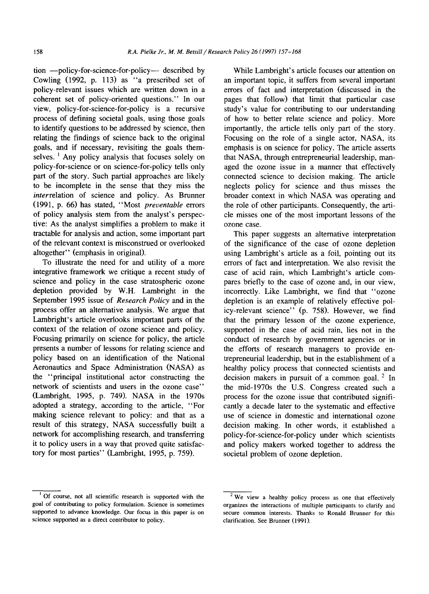tion --policy-for-science-for-policy-- described by Cowling (1992, p. 113) as "a prescribed set of policy-relevant issues which are written down in a coherent set of policy-oriented questions." In our view, policy-for-science-for-policy is a recursive process of defining societal goals, using those goals to identify questions to be addressed by science, then relating the findings of science back to the original goals, and if necessary, revisiting the goals themselves.  $\frac{1}{1}$  Any policy analysis that focuses solely on policy-for-science or on science-for-policy tells only part of the story. Such partial approaches are likely to be incomplete in the sense that they miss the *interrelation* of science and policy. As Brunner (1991, p. 66) has stated, "Most *preventable* errors of policy analysis stem from the analyst's perspective: As the analyst simplifies a problem to make it tractable for analysis and action, some important part of the relevant context is misconstrued or overlooked altogether" (emphasis in original).

To illustrate the need for and utility of a more integrative framework we critique a recent study of science and policy in the case stratospheric ozone depletion provided by W.H. Lambright in the September 1995 issue of *Research Policy* and in the process offer an alternative analysis. We argue that Lambright's article overlooks important parts of the context of the relation of ozone science and policy. Focusing primarily on science for policy, the article presents a number of lessons for relating science and policy based on an identification of the National Aeronautics and Space Administration (NASA) as the "principal institutional actor constructing the network of scientists and users in the ozone case" (Lambright, 1995, p. 749). NASA in the 1970s adopted a strategy, according to the article, "For making science relevant to policy: and that as a result of this strategy, NASA successfully built a network for accomplishing research, and transferring it to policy users in a way that proved quite satisfactory for most parties" (Lambright, 1995, p. 759).

While Lambright's article focuses our attention on an important topic, it suffers from several important errors of fact and interpretation (discussed in the pages that follow) that limit that particular case study's value for contributing to our understanding of how to better relate science and policy. More importantly, the article tells only part of the story. Focusing on the role of a single actor, NASA, its emphasis is on science for policy. The article asserts that NASA, through entrepreneurial leadership, managed the ozone issue in a manner that effectively connected science to decision making. The article neglects policy for science and thus misses the broader context in which NASA was operating and the role of other participants. Consequently, the article misses one of the most important lessons of the ozone case.

This paper suggests an alternative interpretation of the significance of the case of ozone depletion using Lambright's article as a foil, pointing out its errors of fact and interpretation. We also revisit the case of acid rain, which Lambright's article compares briefly to the case of ozone and, in our view, incorrectly. Like Lambright, we find that "ozone depletion is an example of relatively effective policy-relevant science" (p. 758). However, we find that the primary lesson of the ozone experience, supported in the case of acid rain, lies not in the conduct of research by government agencies or in the efforts of research managers to provide entrepreneurial leadership, but in the establishment of a healthy policy process that connected scientists and decision makers in pursuit of a common goal.  $2 \text{ In }$ the mid-1970s the U.S. Congress created such a process for the ozone issue that contributed significantly a decade later to the systematic and effective use of science in domestic and intemational ozone decision making. In other words, it established a policy-for-science-for-policy under which scientists and policy makers worked together to address the societal problem of ozone depletion.

Of course, not all scientific research is supported with the goal of contributing to policy formulation. Science is sometimes supported to advance knowledge. Our focus in this paper is on science supported as a direct contributor to policy.

 $2$  We view a healthy policy process as one that effectively organizes the interactions of multiple participants to clarify and secure common interests. Thanks to Ronald Brunner for this clarification. See Brunner (1991).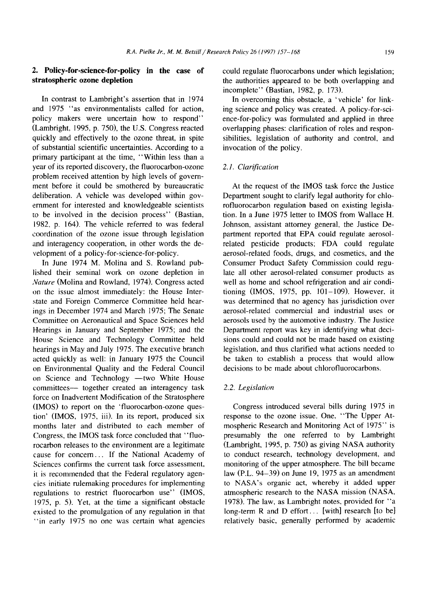## **2. Policy-for-science-for-policy in the case of stratospheric ozone depletion**

In contrast to Lambright's assertion that in 1974 and 1975 "as environmentalists called for action, policy makers were uncertain how to respond" (Lambright, 1995, p. 750), the U.S. Congress reacted quickly and effectively to the ozone threat, in spite of substantial scientific uncertainties. According to a primary participant at the time, "Within less than a year of its reported discovery, the fluorocarbon-ozone problem received attention by high levels of government before it could be smothered by bureaucratic deliberation. A vehicle was developed within government for interested and knowledgeable scientists to be involved in the decision process" (Bastian, 1982, p. 164). The vehicle referred to was federal coordination of the ozone issue through legislation and interagency cooperation, in other words the development of a policy-for-science-for-policy.

In June 1974 M. Molina and S. Rowland published their seminal work on ozone depletion in *Nature* (Molina and Rowland, 1974). Congress acted on the issue almost immediately: the House Interstate and Foreign Commerce Committee held hearings in December 1974 and March 1975; The Senate Committee on Aeronautical and Space Sciences held Hearings in January and September 1975; and the House Science and Technology Committee held hearings in May and July 1975. The executive branch acted quickly as well: in January 1975 the Council on Environmental Quality and the Federal Council on Science and Technology  $-$ two White House committees- together created an interagency task force on Inadvertent Modification of the Stratosphere (IMOS) to report on the 'fluorocarbon-ozone question' (IMOS, 1975, iii). In its report, produced six months later and distributed to each member of Congress, the IMOS task force concluded that "fluorocarbon releases to the environment are a legitimate cause for concern... If the National Academy of Sciences confirms the current task force assessment, it is recommended that the Federal regulatory agencies initiate rulemaking procedures for implementing regulations to restrict fluorocarbon use" (IMOS, 1975, p. 5). Yet, at the time a significant obstacle existed to the promulgation of any regulation in that "in early 1975 no one was certain what agencies could regulate fluorocarbons under which legislation; the authorities appeared to be both overlapping and incomplete" (Bastian, 1982, p. 173).

In overcoming this obstacle, a 'vehicle' for linking science and policy was created. A policy-for-science-for-policy was formulated and applied in three overlapping phases: clarification of roles and responsibilities, legislation of authority and control, and invocation of the policy.

## *2.1. Clarification*

At the request of the IMOS task force the Justice Department sought to clarify legal authority for chlorofluorocarbon regulation based on existing legislation. In a June 1975 letter to IMOS from Wallace H. Johnson, assistant attorney general, the Justice Department reported that EPA could regulate aerosolrelated pesticide products; FDA could regulate aerosol-related foods, drugs, and cosmetics, and the Consumer Product Safety Commission could regulate all other aerosol-related consumer products as well as home and school refrigeration and air conditioning (IMOS, 1975, pp. 101-109). However, it was determined that no agency has jurisdiction over aerosol-related commercial and industrial uses or aerosols used by the automotive industry. The Justice Department report was key in identifying what decisions could and could not be made based on existing legislation, and thus clarified what actions needed to be taken to establish a process that would allow decisions to be made about chlorofluorocarbons.

## *2.2. Legislation*

Congress introduced several bills during 1975 in response to the ozone issue. One, "The Upper Atmospheric Research and Monitoring Act of 1975" is presumably the one referred to by Lambright (Lambright, 1995, p. 750) as giving NASA authority to conduct research, technology development, and monitoring of the upper atmosphere. The bill became law (P.L. 94-39) on June 19, 1975 as an amendment to NASA's organic act, whereby it added upper atmospheric research to the NASA mission (NASA, 1978). The law, as Lambright notes, provided for "a long-term R and D effort... [with] research [to be] relatively basic, generally performed by academic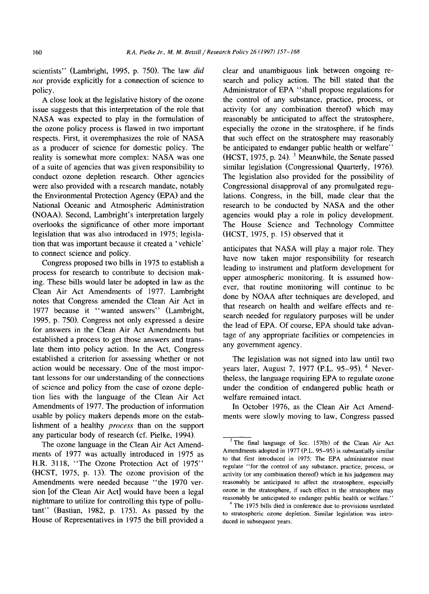scientists" (Lambright, 1995, p. 750). The law *did not* provide explicitly for a connection of science to policy.

A close look at the legislative history of the ozone issue suggests that this interpretation of the role that NASA was expected to play in the formulation of the ozone policy process is flawed in two important respects. First, it overemphasizes the role of NASA as a producer of science for domestic policy. The reality is somewhat more complex: NASA was one of a suite of agencies that was given responsibility to conduct ozone depletion research. Other agencies were also provided with a research mandate, notably the Environmental Protection Agency (EPA) and the National Oceanic and Atmospheric Administration (NOAA). Second, Lambright's interpretation largely overlooks the significance of other more important legislation that was also introduced in 1975; legislation that was important because it created a ' vehicle' to connect science and policy.

Congress proposed two bills in 1975 to establish a process for research to contribute to decision making. These bills would later be adopted in law as the Clean Air Act Amendments of 1977. Lambright notes that Congress amended the Clean Air Act in 1977 because it "wanted answers" (Lambright, 1995, p. 750). Congress not only expressed a desire for answers in the Clean Air Act Amendments but established a process to get those answers and translate them into policy action. In the Act, Congress established a criterion for assessing whether or not action would be necessary. One of the most important lessons for our understanding of the connections of science and policy from the case of ozone depletion lies with the language of the Clean Air Act Amendments of 1977. The production of information usable by policy makers depends more on the establishment of a healthy *process* than on the support any particular body of research (cf. Pielke, 1994).

The ozone language in the Clean Air Act Amendments of 1977 was actually introduced in 1975 as H.R. 3118, "The Ozone Protection Act of 1975" (HCST, 1975, p. 13). The ozone provision of the Amendments were needed because "the 1970 version [of the Clean Air Act] would have been a legal nightmare to utilize for controlling this type of pollutant" (Bastian, 1982, p. 175). As passed by the House of Representatives in 1975 the bill provided a clear and unambiguous link between ongoing research and policy action. The bill stated that the Administrator of EPA "shall propose regulations for the control of any substance, practice, process, or activity (or any combination thereof) which may reasonably be anticipated to affect the stratosphere, especially the ozone in the stratosphere, if he finds that such effect on the stratosphere may reasonably be anticipated to endanger public health or welfare" (HCST, 1975, p. 24).  $3$  Meanwhile, the Senate passed similar legislation (Congressional Quarterly, 1976). The legislation also provided for the possibility of Congressional disapproval of any promulgated regulations. Congress, in the bill, made clear that the research to be conducted by NASA and the other agencies would play a role in policy development. The House Science and Technology Committee (HCST, 1975, p. 15) observed that it

anticipates that NASA will play a major role. They have now taken major responsibility for research leading to instrument and platform development for upper atmospheric monitoring. It is assumed however, that routine monitoring will continue to be done by NOAA after techniques are developed, and that research on health and welfare effects and research needed for regulatory purposes will be under the lead of EPA. Of course, EPA should take advantage of any appropriate facilities or competencies in any government agency.

The legislation was not signed into law until two years later, August 7, 1977 (P.L. 95-95). 4 Nevertheless, the language requiring EPA to regulate ozone under the condition of endangered public heath or welfare remained intact.

In October 1976, as the Clean Air Act Amendments were slowly moving to law, Congress passed

 $3$  The final language of Sec. 157(b) of the Clean Air Act Amendments adopted in 1977 (P.L. 95-95) is substantially similar to that first introduced in 1975: The EPA administrator must regulate "for the control of any substance, practice, process, or activity (or any combination thereof) which in his judgement may reasonably be anticipated to affect the stratosphere, especially ozone in the stratosphere, if such effect in the stratosphere may reasonably be anticipated to endanger public health or welfare."

<sup>&</sup>lt;sup>4</sup> The 1975 bills died in conference due to provisions unrelated to stratospheric ozone depletion. Similar legislation was introduced in subsequent years.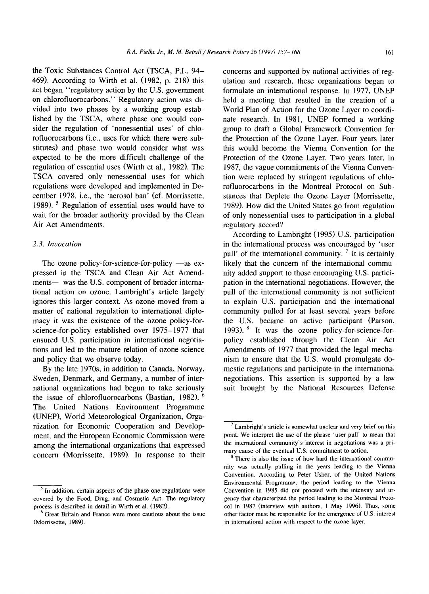the Toxic Substances Control Act (TSCA, P.L. 94- 469). According to Wirth et al. (1982, p. 218) this act began "regulatory action by the U.S. government on chlorofluorocarbons." Regulatory action was divided into two phases by a working group established by the TSCA, where phase one would consider the regulation of 'nonessential uses' of chlorofluorocarbons (i.e., uses for which there were substitutes) and phase two would consider what was expected to be the more difficult challenge of the regulation of essential uses (Wirth et al., 1982). The *TSCA* covered only nonessential uses for which regulations were developed and implemented in December 1978, i.e., the 'aerosol ban' (cf. Morrissette, 1989). 5 Regulation of essential uses would have to wait for the broader authority provided by the Clean Air Act Amendments.

## *2.3. Invocation*

The ozone policy-for-science-for-policy  $-\text{as } \text{ex-}$ pressed in the TSCA and Clean Air Act Amendments- was the U.S. component of broader international action on ozone. Lambright's article largely ignores this larger context. As ozone moved from a matter of national regulation to international diplomacy it was the existence of the ozone policy-forscience-for-policy established over 1975-1977 that ensured U.S. participation in international negotiations and led to the mature relation of ozone science and policy that we observe today.

By the late 1970s, in addition to Canada, Norway, Sweden, Denmark, and Germany, a number of international organizations had begun to take seriously the issue of chlorofluorocarbons (Bastian, 1982). <sup>6</sup> The United Nations Environment Programme (UNEP), World Meteorological Organization, Organization for Economic Cooperation and Development, and the European Economic Commission were among the international organizations that expressed concern (Morrissette, 1989). In response to their

concerns and supported by national activities of regulation and research, these organizations began to formulate an international response. In 1977, UNEP held a meeting that resulted in the creation of a World Plan of Action for the Ozone Layer to coordinate research. In 1981, UNEP formed a working group to draft a Global Framework Convention for the Protection of the Ozone Layer. Four years later this would become the Vienna Convention for the Protection of the Ozone Layer. Two years later, in 1987, the vague commitments of the Vienna Convention were replaced by stringent regulations of chlorofluorocarbons in the Montreal Protocol on Substances that Deplete the Ozone Layer (Morrissette, 1989). How did the United States go from regulation of only nonessential uses to participation in a global regulatory accord?

According to Lambright (1995) U.S. participation in the international process was encouraged by 'user pull' of the international community.  $\frac{7}{1}$  It is certainly likely that the concern of the international community added support to those encouraging U.S. participation in the international negotiations. However, the pull of the international community is not sufficient to explain U.S. participation and the international community pulled for at least several years before the U.S. became an active participant (Parson, 1993). 8 It was the ozone policy-for-science-forpolicy established through the Clean Air Act Amendments of 1977 that provided the legal mechanism to ensure that the U.S. would promulgate domestic regulations and participate in the international negotiations. This assertion is supported by a law suit brought by the National Resources Defense

In addition, certain aspects of the phase one regulations were covered by the Food, Drug, and Cosmetic Act. The regulatory process is described in detail in Wirth et al. (1982).

<sup>6</sup> Great Britain and France were more cautious about the issue (Morrissette, 1989).

 $7$  Lambright's article is somewhat unclear and very brief on this point. We interpret the use of the phrase 'user pull' to mean that the international community's interest in negotiations was a primary cause of the eventual U.S. commitment to action.

There is also the issue of how hard the international community was actually pulling in the years leading to the Vienna Convention. According to Peter Usher, of the United Nations Environmental Programme, the period leading to the Vienna Convention in 1985 did not proceed with the intensity and urgency that characterized the period leading to the Montreal Protocol in 1987 (interview with authors, 1 May 1996). Thus, some other factor must be responsible for the emergence of U.S. interest in international action with respect to the ozone layer.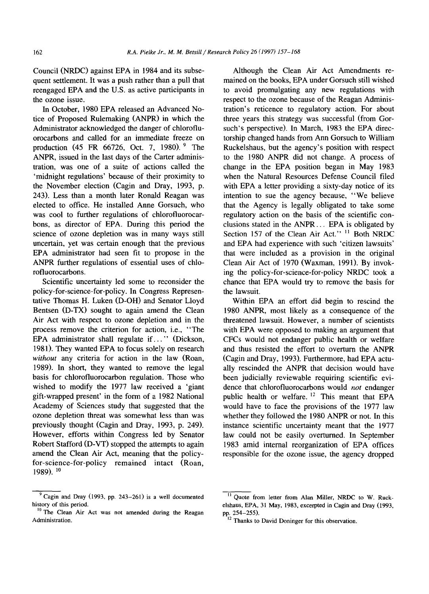Council (NRDC) against EPA in 1984 and its subsequent settlement. It was a push rather than a pull that reengaged EPA and the U.S. as active participants in the ozone issue.

In October, 1980 EPA released an Advanced Notice of Proposed Rulemaking (ANPR) in which the Administrator acknowledged the danger of chlorofluorocarbons and called for an immediate freeze on production (45 FR 66726, Oct. 7, 1980). 9 The ANPR, issued in the last days of the Carter administration, was one of a suite of actions called the 'midnight regulations' because of their proximity to the November election (Cagin and Dray, 1993, p. 243). Less than a month later Ronald Reagan was elected to office. He installed Anne Gorsuch, who was cool to further regulations of chlorofluorocarbons, as director of EPA. During this period the science of ozone depletion was in many ways still uncertain, yet was certain enough that the previous EPA administrator had seen fit to propose in the ANPR further regulations of essential uses of chlorofluorocarbons.

Scientific uncertainty led some to reconsider the policy-for-science-for-policy. In Congress Representative Thomas H. Luken (D-OH) and Senator Lloyd Bentsen (D-TX) sought to again amend the Clean Air Act with respect to ozone depletion and in the process remove the criterion for action, i.e., "The EPA administrator shall regulate if..." (Dickson, 1981). They wanted EPA to focus solely on research *without* any criteria for action in the law (Roan, 1989). In short, they wanted to remove the legal basis for chlorofluorocarbon regulation. Those who wished to modify the 1977 law received a 'giant gift-wrapped present' in the form of a 1982 National Academy of Sciences study that suggested that the ozone depletion threat was somewhat less than was previously thought (Cagin and Dray, 1993, p. 249). However, efforts within Congress led by Senator Robert Stafford (D-VT) stopped the attempts to again amend the Clean Air Act, meaning that the policyfor-science-for-policy remained intact (Roan, 1989). 10

Although the Clean Air Act Amendments remained on the books, EPA under Gorsuch still wished to avoid promulgating any new regulations with respect to the ozone because of the Reagan Administration's reticence to regulatory action. For about three years this strategy was successful (from Gorsuch's perspective). In March, 1983 the EPA directorship changed hands from Ann Gorsuch to William Ruckelshaus, but the agency's position with respect to the 1980 ANPR did not change. A process of change in the EPA position began in May 1983 when the Natural Resources Defense Council filed with EPA a letter providing a sixty-day notice of its intention to sue the agency because, "We believe that the Agency is legally obligated to take some regulatory action on the basis of the scientific conclusions stated in the ANPR... EPA is obligated by Section 157 of the Clean Air Act." <sup>11</sup> Both NRDC and EPA had experience with such 'citizen lawsuits' that were included as a provision in the original Clean Air Act of 1970 (Waxman, 1991). By invoking the policy-for-science-for-policy NRDC took a chance that EPA would try to remove the basis for the lawsuit.

Within EPA an effort did begin to rescind the 1980 ANPR, most likely as a consequence of the threatened lawsuit. However, a number of scientists with EPA were opposed to making an argument that CFCs would not endanger public health or welfare and thus resisted the effort to overturn the ANPR (Cagin and Dray, 1993). Furthermore, had EPA actually rescinded the ANPR that decision would have been judicially reviewable requiring scientific evidence that chlorofluorocarbons would *not* endanger public health or welfare.<sup>12</sup> This meant that EPA would have to face the provisions of the 1977 law whether they followed the 1980 ANPR or not. In this instance scientific uncertainty meant that the 1977 law could not be easily overturned. In September 1983 amid internal reorganization of EPA offices responsible for the ozone issue, the agency dropped

 $\sqrt[9]{2}$  Cagin and Dray (1993, pp. 243-261) is a well documented history of this period.

<sup>&</sup>lt;sup>10</sup> The Clean Air Act was not amended during the Reagan Administration.

<sup>&</sup>lt;sup>11</sup> Quote from letter from Alan Miller, NRDC to W. Ruckelshaus, EPA, 31 May, 1983, excerpted in Cagin and Dray (1993, pp. 254-255).

<sup>&</sup>lt;sup>12</sup> Thanks to David Doninger for this observation.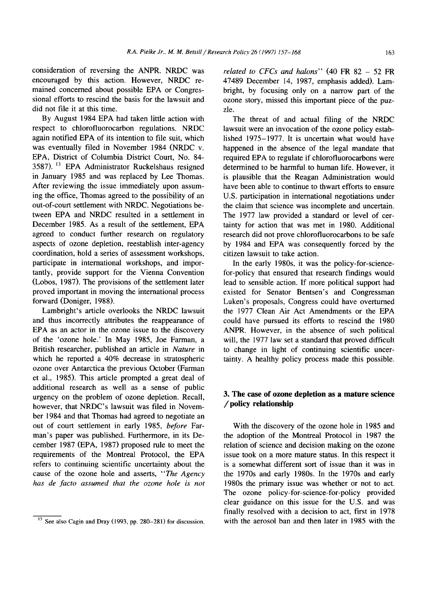consideration of reversing the ANPR. NRDC was encouraged by this action. However, NRDC remained concerned about possible EPA or Congressional efforts to rescind the basis for the lawsuit and did not file it at this time.

By August 1984 EPA had taken little action with respect to chlorofluorocarbon regulations. NRDC again notified EPA of its intention to file suit, which was eventually filed in November 1984 (NRDC v. EPA, District of Columbia District Court, No. 84- 3587). 13 EPA Administrator Ruckelshaus resigned in January 1985 and was replaced by Lee Thomas. After reviewing the issue immediately upon assuming the office, Thomas agreed to the possibility of an out-of-court settlement with NRDC. Negotiations between EPA and NRDC resulted in a settlement in December 1985. As a result of the settlement, EPA agreed to conduct further research on regulatory aspects of ozone depletion, reestablish inter-agency coordination, hold a series of assessment workshops, participate in international workshops, and importantly, provide support for the Vienna Convention (Lobos, 1987). The provisions of the settlement later proved important in moving the international process forward (Doniger, 1988).

Lambright's article overlooks the NRDC lawsuit and thus incorrectly attributes the reappearance of EPA as an actor in the ozone issue to the discovery of the 'ozone hole.' In May 1985, Joe Farman, a British researcher, published an article in *Nature* in which he reported a 40% decrease in stratospheric ozone over Antarctica the previous October (Farman et al., 1985). This article prompted a great deal of additional research as well as a sense of public urgency on the problem of ozone depletion. Recall, however, that NRDC's lawsuit was filed in November 1984 and that Thomas had agreed to negotiate an out of court settlement in early 1985, *before* Farman's paper was published. Furthermore, in its December 1987 (EPA, 1987) proposed rule to meet the requirements of the Montreal Protocol, the EPA refers to continuing scientific uncertainty about the cause of the ozone hole and asserts, *"The Agency has de .facto assumed that the ozone hole is not*  *related to CFCs and halons"* (40 FR 82 - 52 FR 47489 December 14, 1987, emphasis added). Lambright, by focusing only on a narrow part of the ozone story, missed this important piece of the puzzle.

The threat of and actual filing of the NRDC lawsuit were an invocation of the ozone policy established 1975-1977. It is uncertain what would have happened in the absence of the legal mandate that required EPA to regulate if chlorofluorocarbons were determined to be harmful to human life. However, it is plausible that the Reagan Administration would have been able to continue to thwart efforts to ensure U.S. participation in international negotiations under the claim that science was incomplete and uncertain. The 1977 law provided a standard or level of certainty for action that was met in 1980. Additional research did not prove chlorofluorocarbons to be safe by 1984 and EPA was consequently forced by the citizen lawsuit to take action.

In the early 1980s, it was the policy-for-sciencefor-policy that ensured that research findings would lead to sensible action. If more political support had existed for Senator Bentsen's and Congressman Luken's proposals, Congress could have overturned the 1977 Clean Air Act Amendments or the EPA could have pursued its efforts to rescind the 1980 ANPR. However, in the absence of such political will, the 1977 law set a standard that proved difficult to change in light of continuing scientific uncertainty. A healthy policy process made this possible.

# **3. The case of ozone depletion as a mature science / policy relationship**

With the discovery of the ozone hole in 1985 and the adoption of the Montreal Protocol in 1987 the relation of science and decision making on the ozone issue took on a more mature status. In this respect it is a somewhat different sort of issue than it was in the 1970s and early 1980s. In the 1970s and early 1980s the primary issue was whether or not to act. The ozone policy-for-science-for-policy provided clear guidance on this issue for the U.S. and was finally resolved with a decision to act, first in 1978 with the aerosol ban and then later in 1985 with the

<sup>&</sup>lt;sup>13</sup> See also Cagin and Dray (1993, pp. 280-281) for discussion.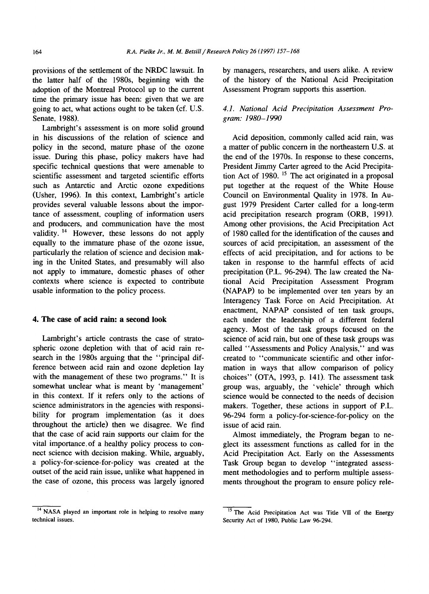provisions of the settlement of the NRDC lawsuit. In the latter half of the 1980s, beginning with the adoption of the Montreal Protocol up to the current time the primary issue has been: given that we are going to act, what actions ought to be taken (cf. U.S. Senate, 1988).

Lambright's assessment is on more solid ground in his discussions of the relation of science and policy in the second, mature phase of the ozone issue. During this phase, policy makers have had specific technical questions that were amenable to scientific assessment and targeted scientific efforts such as Antarctic and Arctic ozone expeditions (Usher, 1996). In this context, Lambright's article provides several valuable lessons about the importance of assessment, coupling of information users and producers, and communication have the most validity.<sup>14</sup> However, these lessons do not apply equally to the immature phase of the ozone issue, particularly the relation of science and decision making in the United States, and presumably will also not apply to immature, domestic phases of other contexts where science is expected to contribute usable information to the policy process.

## **4. The case of acid rain: a second look**

Lambright's article contrasts the case of stratospheric ozone depletion with that of acid rain research in the 1980s arguing that the "principal difference between acid rain and ozone depletion lay with the management of these two programs." It is somewhat unclear what is meant by 'management' in this context. If it refers only to the actions of science administrators in the agencies with responsibility for program implementation (as it does throughout the article) then we disagree. We find that the case of acid rain supports our claim for the vital importance, of a healthy policy process to connect science with decision making. While, arguably, a policy-for-science-for-policy was created at the outset of the acid rain issue, unlike what happened in the case of ozone, this process was largely ignored

<sup>14</sup> NASA played an important role in helping to resolve many <sup>15</sup> The Acid Precipitation Act was Title VII of the Energy technical issues. Security Act of 1980, Public Law 96-294.

by managers, researchers, and users alike. A review of the history of the National Acid Precipitation Assessment Program supports this assertion.

## *4.1. National Acid Precipitation Assessment Program: 1980-1990*

Acid deposition, commonly called acid rain, was a matter of public concern in the northeastern U.S. at the end of the 1970s. In response to these concerns, President Jimmy Carter agreed to the Acid Precipitation Act of 1980.  $15$  The act originated in a proposal put together at the request of the White House Council on Environmental Quality in 1978. In August 1979 President Carter called for a long-term acid precipitation research program (ORB, 1991). Among other provisions, the Acid Precipitation Act of 1980 called for the identification of the causes and sources of acid precipitation, an assessment of the effects of acid precipitation, and for actions to be taken in response to the harmful effects of acid precipitation (P.L. 96-294). The law created the National Acid Precipitation Assessment Program (NAPAP) to be implemented over ten years by an Interagency Task Force on Acid Precipitation. At enactment, NAPAP consisted of ten task groups, each under the leadership of a different federal agency. Most of the task groups focused on the science of acid rain, but one of these task groups was called "Assessments and Policy Analysis," and was created to "communicate scientific and other information in ways that allow comparison of policy choices" (OTA, 1993, p. 141). The assessment task group was, arguably, the 'vehicle' through which science would be connected to the needs of decision makers. Together, these actions in support of P.L. 96-294 form a policy-for-science-for-policy on the issue of acid rain.

Almost immediately, the Program began to neglect its assessment functions as called for in the Acid Precipitation Act. Early on the Assessments Task Group began to develop "integrated assessment methodologies and to perform multiple assessments throughout the program to ensure policy rele-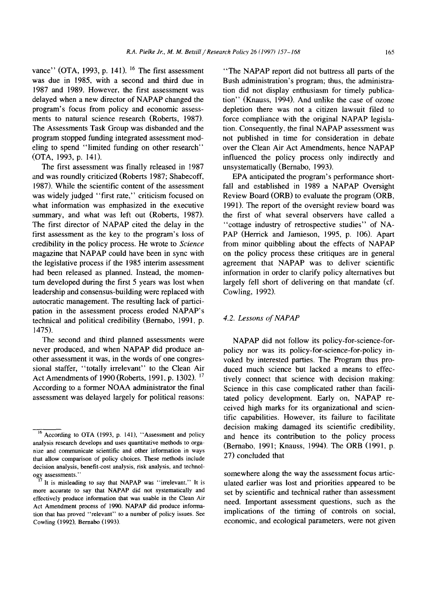vance" (OTA, 1993, p. 141). <sup>16</sup> The first assessment was due in 1985, with a second and third due in 1987 and 1989. However, the first assessment was delayed when a new director of NAPAP changed the program's focus from policy and economic assessments to natural science research (Roberts, 1987). The Assessments Task Group was disbanded and the program stopped funding integrated assessment modeling to spend "limited funding on other research" (OTA, 1993, p. 141).

The first assessment was finally released in 1987 and was roundly criticized (Roberts 1987; Shabecoff, 1987). While the scientific content of the assessment was widely judged "first rate," criticism focused on what information was emphasized in the executive summary, and what was left out (Roberts, 1987). The first director of NAPAP cited the delay in the first assessment as the key to the program's loss of credibility in the policy process. He wrote to *Science*  magazine that NAPAP could have been in sync with the legislative process if the 1985 interim assessment had been released as planned. Instead, the momentum developed during the first 5 years was lost when leadership and consensus-building were replaced with autocratic management. The resulting lack of participation in the assessment process eroded NAPAP's technical and political credibility (Bernabo, 1991, p. 1475).

The second and third planned assessments were never produced, and when NAPAP did produce another assessment it was, in the words of one congressional staffer, "totally irrelevant" to the Clean Air Act Amendments of 1990 (Roberts, 1991, p. 1302).<sup>17</sup> According to a former NOAA administrator the final assessment was delayed largely for political reasons:

"The NAPAP report did not buttress all parts of the Bush administration's program; thus, the administration did not display enthusiasm for timely publication" (Knauss, 1994). And unlike the case of ozone depletion there was not a citizen lawsuit filed to force compliance with the original NAPAP legislation. Consequently, the final NAPAP assessment was not published in time for consideration in debate over the Clean Air Act Amendments, hence NAPAP influenced the policy process only indirectly and unsystematically (Bernabo, 1993).

EPA anticipated the program's performance shortfall and established in 1989 a NAPAP Oversight Review Board (ORB) to evaluate the program (ORB, 1991). The report of the oversight review board was the first of what several observers have called a "cottage industry of retrospective studies" of NA-PAP (Herrick and Jamieson, 1995, p. 106). Apart from minor quibbling about the effects of NAPAP on the policy process these critiques are in general agreement that NAPAP was to deliver scientific information in order to clarify policy alternatives but largely fell short of delivering on that mandate (cf. Cowling, 1992).

### *4.2. Lessons of NAPAP*

NAPAP did not follow its policy-for-science-forpolicy nor was its policy-for-science-for-policy invoked by interested parties. The Program thus produced much science but lacked a means to effectively connect that science with decision making: Science in this case complicated rather than facilitated policy development. Early on, NAPAP received high marks for its organizational and scientific capabilities. However, its failure to facilitate decision making damaged its scientific credibility, and hence its contribution to the policy process (Bernabo, 1991; Knauss, 1994). The ORB (1991, p. 27) concluded that

somewhere along the way the assessment focus articulated earlier was lost and priorities appeared to be set by scientific and technical rather than assessment need. Important assessment questions, such as the implications of the timing of controls on social, economic, and ecological parameters, were not given

<sup>&</sup>lt;sup>16</sup> According to OTA (1993, p. 141), "Assessment and policy analysis research develops and uses quantitative methods to organize and communicate scientific and other information in ways that allow comparison of policy choices. These methods include decision analysis, benefit-cost analysis, risk analysis, and technology assessments."

It is misleading to say that NAPAP was "irrelevant." It is more accurate to say that NAPAP did not systematically and effectively produce information that was usable in the Clean Air Act Amendment process of 1990. NAPAP did produce information that has proved "relevant" to a number of policy issues. See Cowling (1992), Bernabo (1993).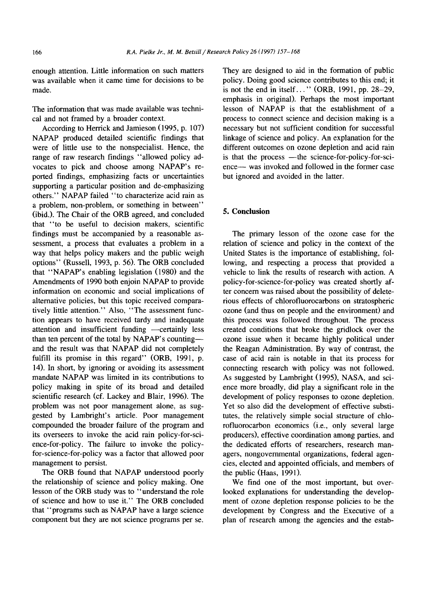enough attention. Little information on such matters was available when it came time for decisions to be made.

The information that was made available was technical and not framed by a broader context.

According to Herrick and Jamieson (1995, p. 107) NAPAP produced detailed scientific findings that were of little use to the nonspecialist. Hence, the range of raw research findings "allowed policy advocates to pick and choose among NAPAP's reported findings, emphasizing facts or uncertainties supporting a particular position and de-emphasizing others." NAPAP failed "to characterize acid rain as a problem, non-problem, or something in between" (ibid.). The Chair of the ORB agreed, and concluded that "to be useful to decision makers, scientific findings must be accompanied by a reasonable assessment, a process that evaluates a problem in a way that helps policy makers and the public weigh options" (Russell, 1993, p. 56). The ORB concluded that "NAPAP's enabling legislation (1980) and the Amendments of 1990 both enjoin NAPAP to provide information on economic and social implications of alternative policies, but this topic received comparatively little attention." Also, "The assessment function appears to have received tardy and inadequate attention and insufficient funding -certainly less than ten percent of the total by NAPAP's counting- and the result was that NAPAP did not completely fulfill its promise in this regard" (ORB, 1991, p. 14). In short, by ignoring or avoiding its assessment mandate NAPAP was limited in its contributions to policy making in spite of its broad and detailed scientific research (cf. Lackey and Blair, 1996). The problem was not poor management alone, as suggested by Lambright's article. Poor management compounded the broader failure of the program and its overseers to invoke the acid rain policy-for-science-for-policy. The failure to invoke the policyfor-science-for-policy was a factor that allowed poor management to persist.

The ORB found that NAPAP understood poorly the relationship of science and policy making. One lesson of the ORB study was to "understand the role of science and how to use it." The ORB concluded that "programs such as NAPAP have a large science component but they are not science programs per se. They are designed to aid in the formation of public policy. Doing good science contributes to this end; it is not the end in itself..." (ORB, 1991, pp. 28-29, emphasis in original). Perhaps the most important lesson of NAPAP is that the establishment of a process to connect science and decision making is a necessary but not sufficient condition for successful linkage of science and policy. An explanation for the different outcomes on ozone depletion and acid rain is that the process —the science-for-policy-for-science- was invoked and followed in the former case but ignored and avoided in the latter.

# **5. Conclusion**

The primary lesson of the ozone case for the relation of science and policy in the context of the United States is the importance of establishing, following, and respecting a process that provided a vehicle to link the results of research with action. A policy-for-science-for-policy was created shortly after concern was raised about the possibility of deleterious effects of chlorofluorocarbons on stratospheric ozone (and thus on people and the environment) and this process was followed throughout. The process created conditions that broke the gridlock over the ozone issue when it became highly political under the Reagan Administration. By way of contrast, the case of acid rain is notable in that its process for connecting research with policy was not followed. As suggested by Lambright (1995), NASA, and science more broadly, did play a significant role in the development of policy responses to ozone depletion. Yet so also did the development of effective substitutes, the relatively simple social structure of chlorofluorocarbon economics (i.e., only several large producers), effective coordination among parties, and the dedicated efforts of researchers, research managers, nongovernmental organizations, federal agencies, elected and appointed officials, and members of the public (Haas, 1991).

We find one of the most important, but overlooked explanations for understanding the development of ozone depletion response policies to be the development by Congress and the Executive of a plan of research among the agencies and the estab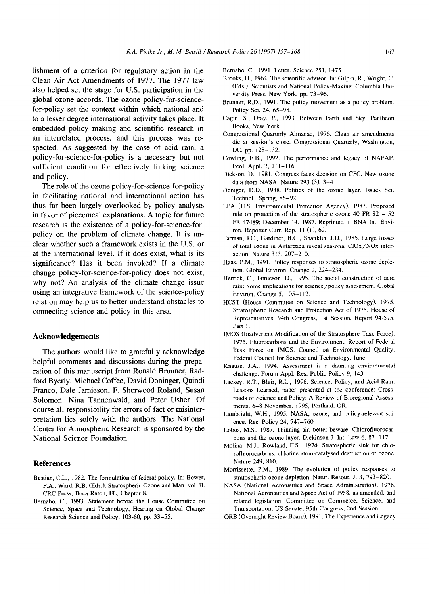lishment of a criterion for regulatory action in the Clean Air Act Amendments of 1977. The 1977 law also helped set the stage for U.S. participation in the global ozone accords. The ozone policy-for-sciencefor-policy set the context within which national and to a lesser degree international activity takes place. It embedded policy making and scientific research in an interrelated process, and this process was respected. As suggested by the case of acid rain, a policy-for-science-for-policy is a necessary but not sufficient condition for effectively linking science and policy.

The role of the ozone policy-for-science-for-policy in facilitating national and international action has thus far been largely overlooked by policy analysts in favor of piecemeal explanations. A topic for future research is the existence of a policy-for-science-forpolicy on the problem of climate change. It is unclear whether such a framework exists in the U.S. or at the international level. If it does exist, what is its significance? Has it been invoked? If a climate change policy-for-science-for-policy does not exist, why not? An analysis of the climate change issue using an integrative framework of the science-policy relation may help us to better understand obstacles to connecting science and policy in this area.

#### **Acknowledgements**

**The authors would like to gratefully acknowledge helpful comments and discussions during the preparation of this manuscript from Ronald Brunner, Radford Byerly, Michael Coffee, David Doninger, Quindi Franco, Dale Jamieson, F. Sherwood Roland, Susan Solomon, Nina Tannenwald, and Peter Usher. Of course all responsibility for errors of fact or misinterpretation lies solely with the authors. The National Center for Atmospheric Research is sponsored by the National Science Foundation.** 

#### **References**

- Bastian, C.L., 1982. The formulation of federal policy. In: Bower, F.A., Ward, R.B. (Eds.), Stratospheric Ozone and Man, vol. II. CRC Press, Boca Raton, FL, Chapter 8.
- Bernabo, C., 1993. Statement before the House Committee on Science, Space and Technology, Hearing on Global Change Research Science and Policy, 103-60, pp. 33-55.

Bernabo, C., 1991. Letter. Science 251, 1475.

- Brooks, H., 1964. The scientific advisor. In: Gilpin, R., Wright, C. (Eds.), Scientists and National Policy-Making. Columbia University Press, New York, pp. 73-96.
- Brunner, R.D., 1991. The policy movement as a policy problem. Policy Sci. 24, 65-98.
- Cagin, S., Dray, P., 1993. Between Earth and Sky. Pantheon Books, New York.
- Congressional Quarterly Almanac, 1976. Clean air amendments die at session's close. Congressional Quarterly, Washington, DC, pp. 128-132.
- Cowling, E.B., 1992. The performance and legacy of NAPAP. Ecol. Appl. 2, 111-116.
- Dickson, D., 1981. Congress faces decision on CFC, New ozone data from NASA. Nature 293 (3), 3-4.
- Doniger, D.D., 1988. Politics of the ozone layer. Issues Sci. Technol., Spring, 86-92.
- EPA (U.S. Environmental Protection Agency), 1987. Proposed rule on protection of the stratospheric ozone 40 FR 82 - 52 FR 47489; December 14, 1987. Reprinted in BNA Int. Environ. Reporter Curr. Rep. 11 (l), 62.
- Farman, J.C., Gardiner, B.G., Shanklin, J.D., 1985. Large losses of total ozone in Antarctica reveal seasonal CIOx/NOx interaction. Nature 315, 207-210.
- Haas, P.M., 1991. Policy responses to stratospheric ozone depletion. Global Environ. Change 2, 224-234.
- Herrick, C., Jamieson, D., 1995. The social construction of acid rain: Some implications for science/policy assessment. Global Environ. Change 5, 105-112.
- HCST (House Committee on Science and Technology), 1975. Stratospheric Research and Protection Act of 1975, House of Representatives, 94th Congress, 1st Session, Report 94-575, Part 1.
- IMOS (Inadvertent Modification of the Stratosphere Task Force), 1975. Fluorocarbons and the Environment, Report of Federal Task Force on IMOS. Council on Environmental Quality, Federal Council for Science and Technology, June.
- Knauss, J.A., 1994. Assessment is a daunting environmental challenge. Forum Appl. Res. Public Policy 9, 143.
- Lackey, R.T., Blair, R.L., 1996. Science, Policy, and Acid Rain: Lessons Learned, paper presented at the conference: Crossroads of Science and Policy: A Review of Bioregional Assessments, 6-8 November, 1995, Portland, OR.
- Lambright, W.H., 1995. NASA, ozone, and policy-relevant science. Res. Policy 24, 747-760.
- Lobos, M.S., 1987. Thinning air, better beware: Chlorofluorocarbons and the ozone layer. Dickinson J. Int. Law 6, 87-117.
- Molina, M.J., Rowland, F.S., 1974. Stratospheric sink for chlorofluorocarbons: chlorine atom-catalysed destruction of ozone. Nature 249, 810.
- Morrissette, P.M., 1989. The evolution of policy responses to stratospheric ozone depletion. Natur. Resour. J. 3, 793-820.
- NASA (National Aeronautics and Space Administration), 1978. National Aeronautics and Space Act of 1958, as amended, and related legislation. Committee on Commerce, Science, and Transportation, US Senate, 95th Congress, 2nd Session.
- ORB (Oversight Review Board), 1991. The Experience and Legacy